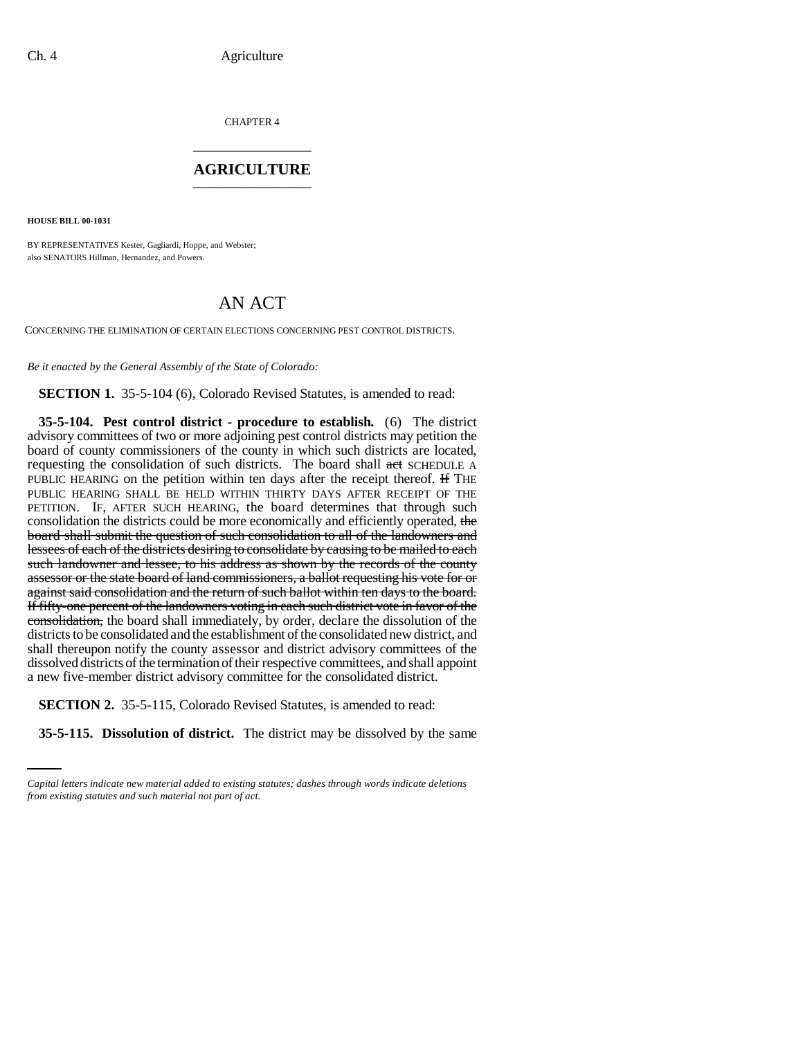CHAPTER 4 \_\_\_\_\_\_\_\_\_\_\_\_\_\_\_

## **AGRICULTURE** \_\_\_\_\_\_\_\_\_\_\_\_\_\_\_

**HOUSE BILL 00-1031** 

BY REPRESENTATIVES Kester, Gagliardi, Hoppe, and Webster; also SENATORS Hillman, Hernandez, and Powers.

## AN ACT

CONCERNING THE ELIMINATION OF CERTAIN ELECTIONS CONCERNING PEST CONTROL DISTRICTS.

*Be it enacted by the General Assembly of the State of Colorado:*

**SECTION 1.** 35-5-104 (6), Colorado Revised Statutes, is amended to read:

**35-5-104. Pest control district - procedure to establish.** (6) The district advisory committees of two or more adjoining pest control districts may petition the board of county commissioners of the county in which such districts are located, requesting the consolidation of such districts. The board shall act SCHEDULE A PUBLIC HEARING on the petition within ten days after the receipt thereof. If THE PUBLIC HEARING SHALL BE HELD WITHIN THIRTY DAYS AFTER RECEIPT OF THE PETITION. IF, AFTER SUCH HEARING, the board determines that through such consolidation the districts could be more economically and efficiently operated, the board shall submit the question of such consolidation to all of the landowners and lessees of each of the districts desiring to consolidate by causing to be mailed to each such landowner and lessee, to his address as shown by the records of the county assessor or the state board of land commissioners, a ballot requesting his vote for or against said consolidation and the return of such ballot within ten days to the board. If fifty-one percent of the landowners voting in each such district vote in favor of the consolidation, the board shall immediately, by order, declare the dissolution of the districts to be consolidated and the establishment of the consolidated new district, and shall thereupon notify the county assessor and district advisory committees of the dissolved districts of the termination of their respective committees, and shall appoint a new five-member district advisory committee for the consolidated district.

 **SECTION 2.** 35-5-115, Colorado Revised Statutes, is amended to read:

**35-5-115. Dissolution of district.** The district may be dissolved by the same

*Capital letters indicate new material added to existing statutes; dashes through words indicate deletions from existing statutes and such material not part of act.*